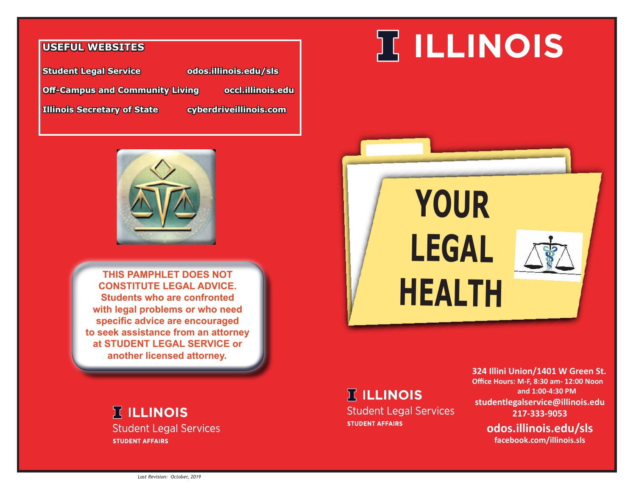#### **USEFUL WEBSITES**

**Student Legal Service odos.illinois.edu/sls Off-Campus and Community Living occl.illinois.edu Illinois Secretary of State cyberdriveillinois.com**



**THIS PAMPHLET DOES NOT CONSTITUTE LEGAL ADVICE. Students who are confronted with legal problems or who need specific advice are encouraged to seek assistance from an attorney at STUDENT LEGAL SERVICE or another licensed attorney.**

#### **TELLINOIS Student Legal Services STUDENT AFFAIRS**

# **TELLINOIS**



### **IT ILLINOIS**

**Student Legal Services STUDENT AFFAIRS** 

**324 Illini Union/1401 W Green St. Office Hours: M-F, 8:30 am- 12:00 Noon and 1:00-4:30 PM studentlegalservice@illinois.edu 217-333-9053**

> **odos.illinois.edu/sls facebook.com/illinois.sls**